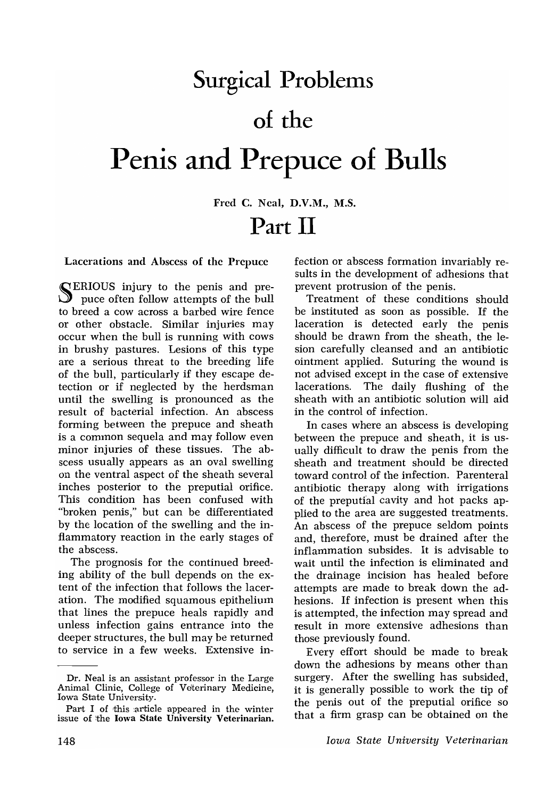## **Surgical Problems** of the Penis and Prepuce of Bulls

Fred C. Neal, D.V.M., M.S. Part **II** 

Lacerations and Abscess of the Prepuce

SERIOUS injury to the penis and pre-puce often follow attempts of the bull to breed a cow across a barbed wire fence or other obstacle. Similar injuries may occur when the bull is running with cows in brushy pastures. Lesions of this type are a serious threat to the breeding life of the bull, particularly if they escape detection or if neglected by the herdsman until the swelling is pronounced as the result of bacterial infection. An abscess forming between the prepuce and sheath is a common sequela and may follow even minor injuries of these tissues. The abscess usually appears as an oval swelling on the ventral aspect of the sheath several inches posterior to the preputial orifice. This condition has been confused with "broken penis," but can be differentiated by the location of the swelling and the inflammatory reaction in the early stages of the abscess.

The prognosis for the continued breeding ability of the bull depends on the extent of the infection that follows the laceration. The modified squamous epithelium that lines the prepuce heals rapidly and unless infection gains entrance into the deeper structures, the bull may be returned to service in a few weeks. Extensive infection or abscess formation invariably results in the development of adhesions that prevent protrusion of the penis.

Treatment of these conditions should be instituted as soon as possible. If the laceration is detected early the penis should be drawn from the sheath, the lesion carefully cleansed and an antibiotic ointment applied. Suturing the wound is not advised except in the case of extensive lacerations. The daily flushing of the sheath with an antibiotic solution will aid in the control of infection.

In cases where an abscess is developing between the prepuce and sheath, it is usually difficult to draw the penis from the sheath and treatment should be directed toward control of the infection. Parenteral antibiotic therapy along with irrigations of the preputfal cavity and hot packs applied to the area are suggested treatments. An abscess of the prepuce seldom points and, therefore, must be drained after the inflammation subsides. It is advisable to wait until the infection is eliminated and the drainage incision has healed before attempts are made to break down the adhesions. If infection is present when this is attempted, the infection may spread and result in more extensive adhesions than those previously found.

E very effort should be made to break down the adhesions by means other than surgery. After the swelling has subsided, it is generally possible to work the tip of the penis out of the preputial orifice so that a firm grasp can be obtained on the

Dr. Neal is an assistant professor in the Large Animal Clinic, College of Veterinary Medicine, Iowa State University.

Part I of this article appeared in the winter issue of the Iowa State University Veterinarian.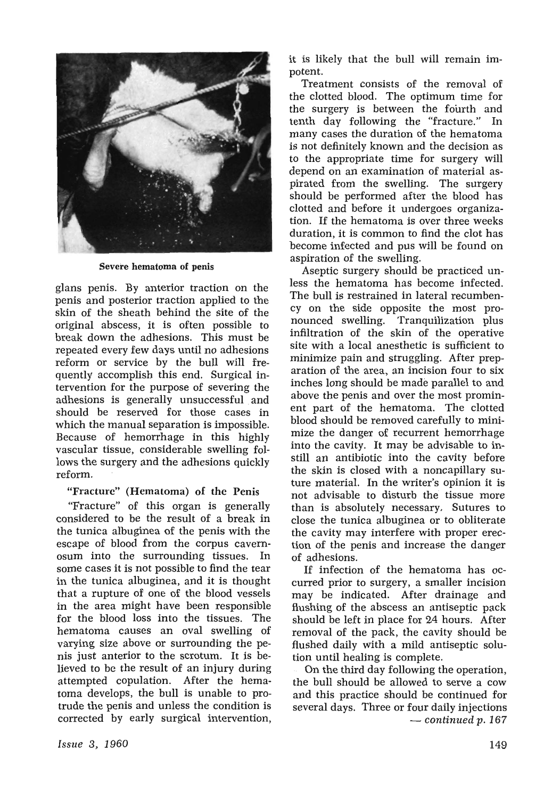

Severe hematoma of penis

glans penis. By anterior traction on the penis and posterior traction applied to the skin of the sheath behind the site of the original abscess, it is often possible to break down the adhesions. This must be repeated every few days until no adhesions reform or service by the bull will frequently accomplish this end. Surgical intervention for the purpose of severing the adhesions is generally unsuccessful and should be reserved for those cases in which the manual separation is impossible. Because of hemorrhage in this highly vascular tissue, considerable swelling follows the surgery and the adhesions quickly reform.

## "Fracture" (Hematoma) of the Penis

"Fracture" of this organ is generally considered to be the result of a break in the tunica albuginea of the penis with the escape of blood from the corpus cavernosum into the surrounding tissues. In some cases it is not possible to find the tear in the tunica albuginea, and it is thought that a rupture of one of the blood vessels in the area might have been responsible for the blood loss into the tissues. The hematoma causes an oval swelling of varying size above or surrounding the penis just anterior to the scrotum. It is believed to be the result of an injury during attempted copulation. After the hematoma develops, the bull is unable to protrude the penis and unless the condition is corrected by early surgical intervention, it is likely that the bull will remain impotent.

Treatment consists of the removal of the clotted blood. The optimum time for the surgery is between the fourth and tenth day following the "fracture." In many cases the duration of the hematoma is not definitely known and the decision as to the appropriate time for surgery will depend on an examination of material aspirated from the swelling. The surgery should be performed after the blood has clotted and before it undergoes organization. If the hematoma is over three weeks duration, it is common to find the clot has become infected and pus will be found on aspiration of the swelling.

Aseptic surgery should be practiced unless the hematoma has become infected. The bull is restrained in lateral recumbency on the side opposite the most pronounced swelling. Tranquilization plus infiltration of the skin of the operative site with a local anesthetic is sufficient to minimize pain and struggling. After preparation of the area, an incision four to six inches long should be made parallel to and above the penis and over the most prominent part of the hematoma. The clotted blood should be removed carefully to minimize the danger of recurrent hemorrhage into the cavity. It may be advisable to instill an antibiotic into the cavity before the skin is closed with a noncapillary suture material. In the writer's opinion it is not advisable to disturb the tissue more than is absolutely necessary. Sutures to close the tunica albuginea or to obliterate the cavity may interfere with proper erection of the penis and increase the danger of adhesions.

If infection of the hematoma has occurred prior to surgery, a smaller incision may be indicated. After drainage and flushing of the abscess an antiseptic pack should be left in place for 24 hours. After removal of the pack, the cavity should be flushed daily with a mild antiseptic solution until healing is complete.

On the third day following the operation, the bull should be allowed to serve a cow and this practice should be continued for several days. Three or four daily injections *- continued* p. *167*